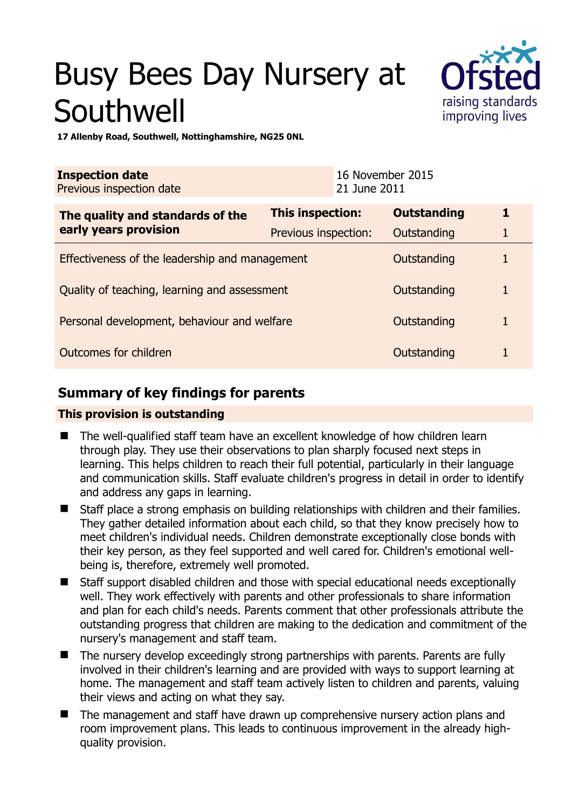# Busy Bees Day Nursery at **Southwell**



**17 Allenby Road, Southwell, Nottinghamshire, NG25 0NL** 

| <b>Inspection date</b><br>Previous inspection date |                      | 16 November 2015<br>21 June 2011 |                    |   |
|----------------------------------------------------|----------------------|----------------------------------|--------------------|---|
| The quality and standards of the                   | This inspection:     |                                  | <b>Outstanding</b> | 1 |
| early years provision                              | Previous inspection: |                                  | Outstanding        | 1 |
| Effectiveness of the leadership and management     |                      |                                  | Outstanding        |   |
| Quality of teaching, learning and assessment       |                      |                                  | Outstanding        | 1 |
| Personal development, behaviour and welfare        |                      |                                  | Outstanding        |   |
| Outcomes for children                              |                      |                                  | Outstanding        |   |

## **Summary of key findings for parents**

#### **This provision is outstanding**

- The well-qualified staff team have an excellent knowledge of how children learn through play. They use their observations to plan sharply focused next steps in learning. This helps children to reach their full potential, particularly in their language and communication skills. Staff evaluate children's progress in detail in order to identify and address any gaps in learning.
- Staff place a strong emphasis on building relationships with children and their families. They gather detailed information about each child, so that they know precisely how to meet children's individual needs. Children demonstrate exceptionally close bonds with their key person, as they feel supported and well cared for. Children's emotional wellbeing is, therefore, extremely well promoted.
- Staff support disabled children and those with special educational needs exceptionally well. They work effectively with parents and other professionals to share information and plan for each child's needs. Parents comment that other professionals attribute the outstanding progress that children are making to the dedication and commitment of the nursery's management and staff team.
- The nursery develop exceedingly strong partnerships with parents. Parents are fully involved in their children's learning and are provided with ways to support learning at home. The management and staff team actively listen to children and parents, valuing their views and acting on what they say.
- The management and staff have drawn up comprehensive nursery action plans and room improvement plans. This leads to continuous improvement in the already highquality provision.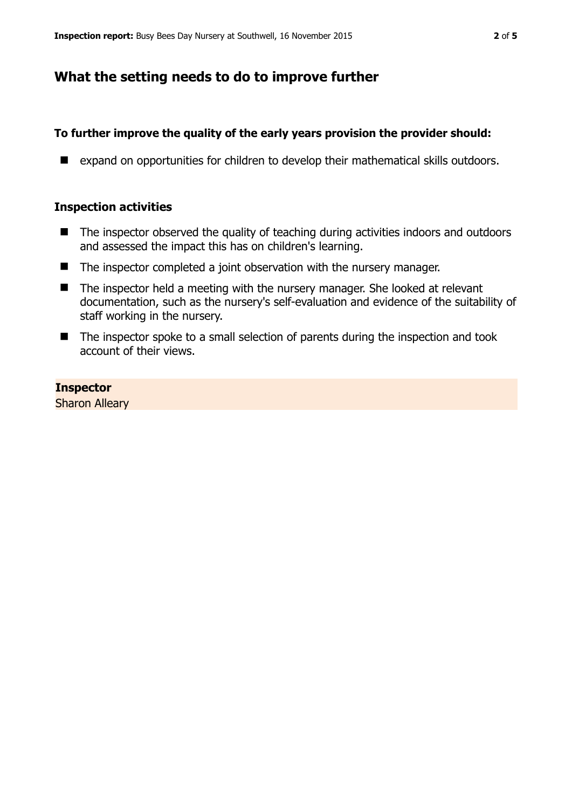## **What the setting needs to do to improve further**

## **To further improve the quality of the early years provision the provider should:**

■ expand on opportunities for children to develop their mathematical skills outdoors.

#### **Inspection activities**

- The inspector observed the quality of teaching during activities indoors and outdoors and assessed the impact this has on children's learning.
- The inspector completed a joint observation with the nursery manager.
- $\blacksquare$  The inspector held a meeting with the nursery manager. She looked at relevant documentation, such as the nursery's self-evaluation and evidence of the suitability of staff working in the nursery.
- The inspector spoke to a small selection of parents during the inspection and took account of their views.

**Inspector**  Sharon Alleary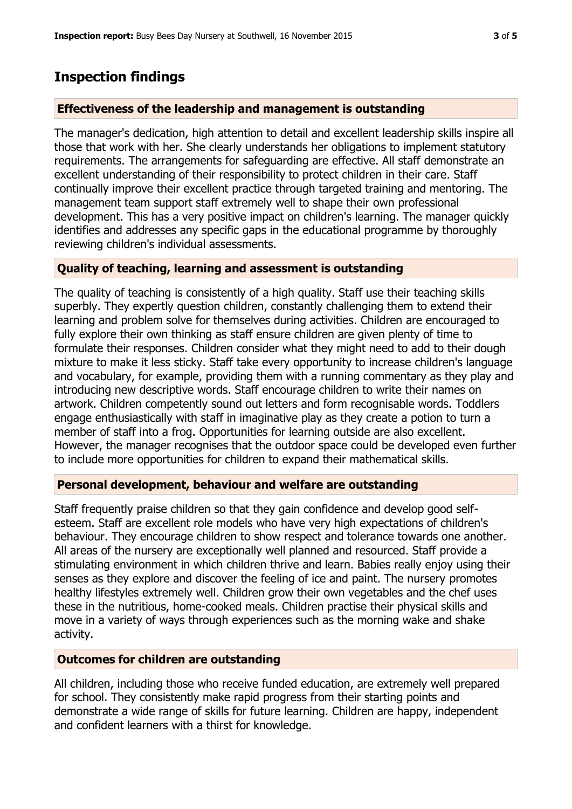## **Inspection findings**

## **Effectiveness of the leadership and management is outstanding**

The manager's dedication, high attention to detail and excellent leadership skills inspire all those that work with her. She clearly understands her obligations to implement statutory requirements. The arrangements for safeguarding are effective. All staff demonstrate an excellent understanding of their responsibility to protect children in their care. Staff continually improve their excellent practice through targeted training and mentoring. The management team support staff extremely well to shape their own professional development. This has a very positive impact on children's learning. The manager quickly identifies and addresses any specific gaps in the educational programme by thoroughly reviewing children's individual assessments.

#### **Quality of teaching, learning and assessment is outstanding**

The quality of teaching is consistently of a high quality. Staff use their teaching skills superbly. They expertly question children, constantly challenging them to extend their learning and problem solve for themselves during activities. Children are encouraged to fully explore their own thinking as staff ensure children are given plenty of time to formulate their responses. Children consider what they might need to add to their dough mixture to make it less sticky. Staff take every opportunity to increase children's language and vocabulary, for example, providing them with a running commentary as they play and introducing new descriptive words. Staff encourage children to write their names on artwork. Children competently sound out letters and form recognisable words. Toddlers engage enthusiastically with staff in imaginative play as they create a potion to turn a member of staff into a frog. Opportunities for learning outside are also excellent. However, the manager recognises that the outdoor space could be developed even further to include more opportunities for children to expand their mathematical skills.

#### **Personal development, behaviour and welfare are outstanding**

Staff frequently praise children so that they gain confidence and develop good selfesteem. Staff are excellent role models who have very high expectations of children's behaviour. They encourage children to show respect and tolerance towards one another. All areas of the nursery are exceptionally well planned and resourced. Staff provide a stimulating environment in which children thrive and learn. Babies really enjoy using their senses as they explore and discover the feeling of ice and paint. The nursery promotes healthy lifestyles extremely well. Children grow their own vegetables and the chef uses these in the nutritious, home-cooked meals. Children practise their physical skills and move in a variety of ways through experiences such as the morning wake and shake activity.

## **Outcomes for children are outstanding**

All children, including those who receive funded education, are extremely well prepared for school. They consistently make rapid progress from their starting points and demonstrate a wide range of skills for future learning. Children are happy, independent and confident learners with a thirst for knowledge.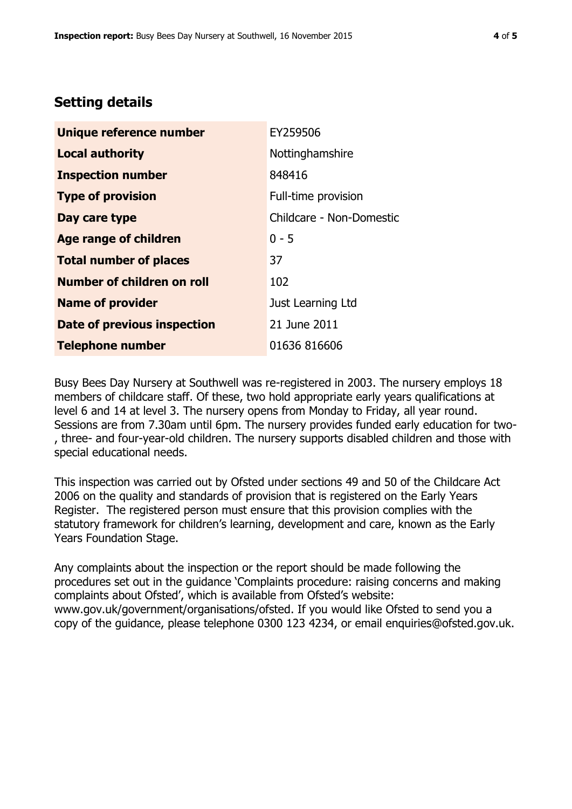## **Setting details**

| Unique reference number       | EY259506                 |  |
|-------------------------------|--------------------------|--|
| <b>Local authority</b>        | Nottinghamshire          |  |
| <b>Inspection number</b>      | 848416                   |  |
| <b>Type of provision</b>      | Full-time provision      |  |
| Day care type                 | Childcare - Non-Domestic |  |
| <b>Age range of children</b>  | $0 - 5$                  |  |
| <b>Total number of places</b> | 37                       |  |
| Number of children on roll    | 102                      |  |
| <b>Name of provider</b>       | Just Learning Ltd        |  |
| Date of previous inspection   | 21 June 2011             |  |
| <b>Telephone number</b>       | 01636 816606             |  |

Busy Bees Day Nursery at Southwell was re-registered in 2003. The nursery employs 18 members of childcare staff. Of these, two hold appropriate early years qualifications at level 6 and 14 at level 3. The nursery opens from Monday to Friday, all year round. Sessions are from 7.30am until 6pm. The nursery provides funded early education for two- , three- and four-year-old children. The nursery supports disabled children and those with special educational needs.

This inspection was carried out by Ofsted under sections 49 and 50 of the Childcare Act 2006 on the quality and standards of provision that is registered on the Early Years Register. The registered person must ensure that this provision complies with the statutory framework for children's learning, development and care, known as the Early Years Foundation Stage.

Any complaints about the inspection or the report should be made following the procedures set out in the guidance 'Complaints procedure: raising concerns and making complaints about Ofsted', which is available from Ofsted's website: www.gov.uk/government/organisations/ofsted. If you would like Ofsted to send you a copy of the guidance, please telephone 0300 123 4234, or email enquiries@ofsted.gov.uk.